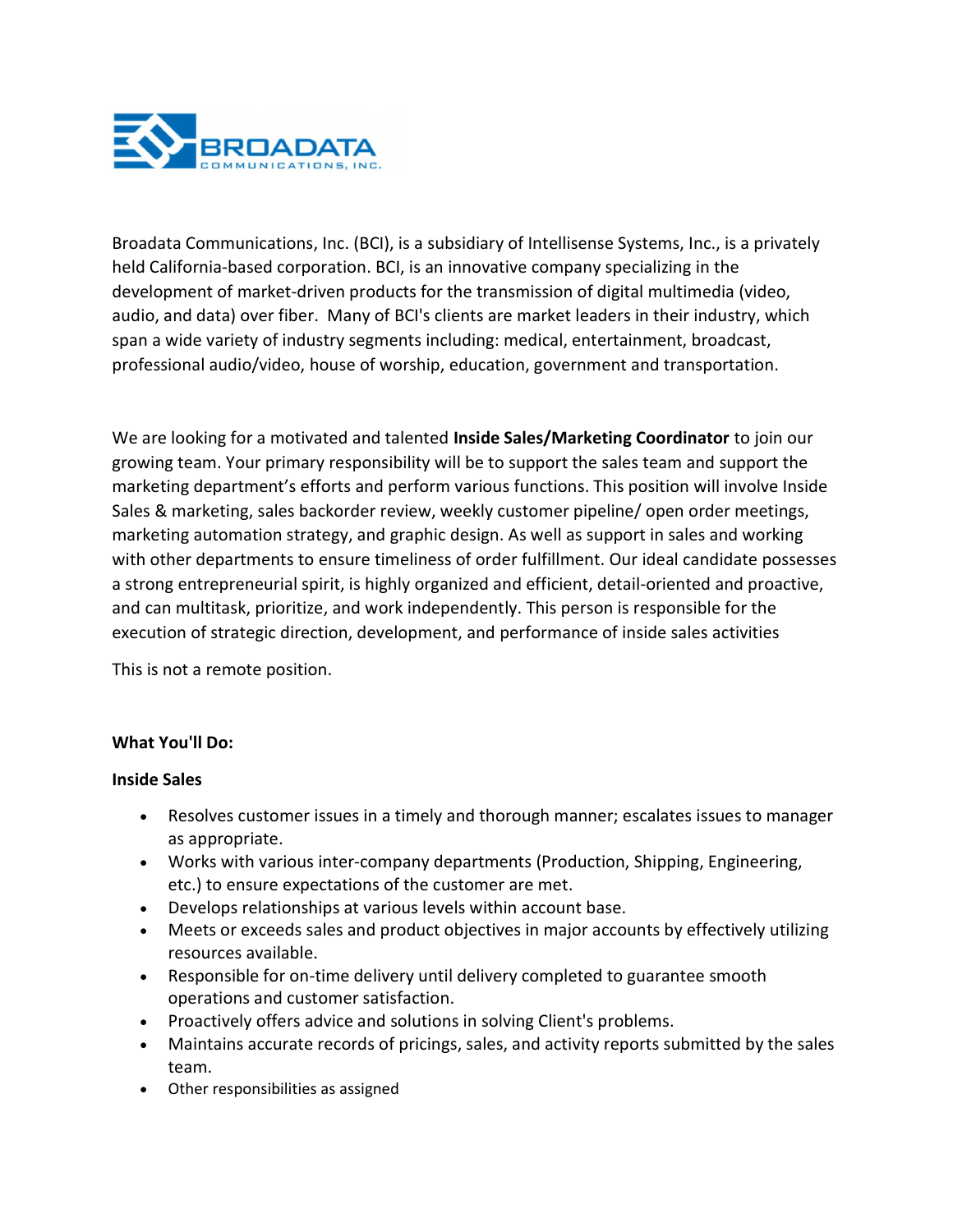

Broadata Communications, Inc. (BCI), is a subsidiary of Intellisense Systems, Inc., is a privately held California-based corporation. BCI, is an innovative company specializing in the development of market-driven products for the transmission of digital multimedia (video, audio, and data) over fiber. Many of BCI's clients are market leaders in their industry, which span a wide variety of industry segments including: medical, entertainment, broadcast, professional audio/video, house of worship, education, government and transportation.

We are looking for a motivated and talented Inside Sales/Marketing Coordinator to join our growing team. Your primary responsibility will be to support the sales team and support the marketing department's efforts and perform various functions. This position will involve Inside Sales & marketing, sales backorder review, weekly customer pipeline/ open order meetings, marketing automation strategy, and graphic design. As well as support in sales and working with other departments to ensure timeliness of order fulfillment. Our ideal candidate possesses a strong entrepreneurial spirit, is highly organized and efficient, detail-oriented and proactive, and can multitask, prioritize, and work independently. This person is responsible for the execution of strategic direction, development, and performance of inside sales activities

This is not a remote position.

## What You'll Do:

## Inside Sales

- Resolves customer issues in a timely and thorough manner; escalates issues to manager as appropriate.
- Works with various inter-company departments (Production, Shipping, Engineering, etc.) to ensure expectations of the customer are met.
- Develops relationships at various levels within account base.
- Meets or exceeds sales and product objectives in major accounts by effectively utilizing resources available.
- Responsible for on-time delivery until delivery completed to guarantee smooth operations and customer satisfaction.
- Proactively offers advice and solutions in solving Client's problems.
- Maintains accurate records of pricings, sales, and activity reports submitted by the sales team.
- Other responsibilities as assigned